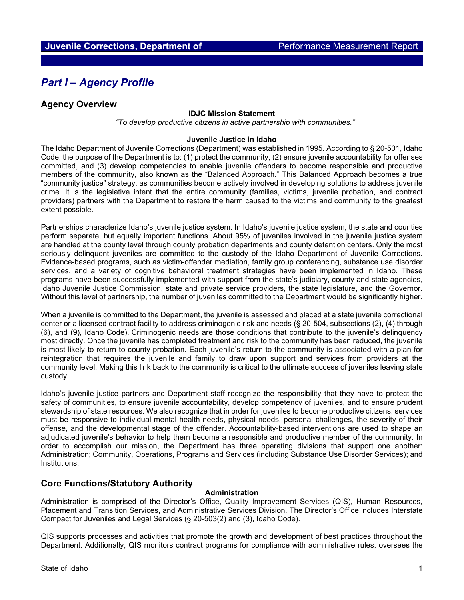# *Part I – Agency Profile*

# **Agency Overview**

#### **IDJC Mission Statement**

*"To develop productive citizens in active partnership with communities."*

### **Juvenile Justice in Idaho**

The Idaho Department of Juvenile Corrections (Department) was established in 1995. According to § 20-501, Idaho Code, the purpose of the Department is to: (1) protect the community, (2) ensure juvenile accountability for offenses committed, and (3) develop competencies to enable juvenile offenders to become responsible and productive members of the community, also known as the "Balanced Approach." This Balanced Approach becomes a true "community justice" strategy, as communities become actively involved in developing solutions to address juvenile crime. It is the legislative intent that the entire community (families, victims, juvenile probation, and contract providers) partners with the Department to restore the harm caused to the victims and community to the greatest extent possible.

Partnerships characterize Idaho's juvenile justice system. In Idaho's juvenile justice system, the state and counties perform separate, but equally important functions. About 95% of juveniles involved in the juvenile justice system are handled at the county level through county probation departments and county detention centers. Only the most seriously delinquent juveniles are committed to the custody of the Idaho Department of Juvenile Corrections. Evidence-based programs, such as victim-offender mediation, family group conferencing, substance use disorder services, and a variety of cognitive behavioral treatment strategies have been implemented in Idaho. These programs have been successfully implemented with support from the state's judiciary, county and state agencies, Idaho Juvenile Justice Commission, state and private service providers, the state legislature, and the Governor. Without this level of partnership, the number of juveniles committed to the Department would be significantly higher.

When a juvenile is committed to the Department, the juvenile is assessed and placed at a state juvenile correctional center or a licensed contract facility to address criminogenic risk and needs (§ 20-504, subsections (2), (4) through (6), and (9), Idaho Code). Criminogenic needs are those conditions that contribute to the juvenile's delinquency most directly. Once the juvenile has completed treatment and risk to the community has been reduced, the juvenile is most likely to return to county probation. Each juvenile's return to the community is associated with a plan for reintegration that requires the juvenile and family to draw upon support and services from providers at the community level. Making this link back to the community is critical to the ultimate success of juveniles leaving state custody.

Idaho's juvenile justice partners and Department staff recognize the responsibility that they have to protect the safety of communities, to ensure juvenile accountability, develop competency of juveniles, and to ensure prudent stewardship of state resources. We also recognize that in order for juveniles to become productive citizens, services must be responsive to individual mental health needs, physical needs, personal challenges, the severity of their offense, and the developmental stage of the offender. Accountability-based interventions are used to shape an adjudicated juvenile's behavior to help them become a responsible and productive member of the community. In order to accomplish our mission, the Department has three operating divisions that support one another: Administration; Community, Operations, Programs and Services (including Substance Use Disorder Services); and Institutions.

# **Core Functions/Statutory Authority**

## **Administration**

Administration is comprised of the Director's Office, Quality Improvement Services (QIS), Human Resources, Placement and Transition Services, and Administrative Services Division. The Director's Office includes Interstate Compact for Juveniles and Legal Services (§ 20-503(2) and (3), Idaho Code).

QIS supports processes and activities that promote the growth and development of best practices throughout the Department. Additionally, QIS monitors contract programs for compliance with administrative rules, oversees the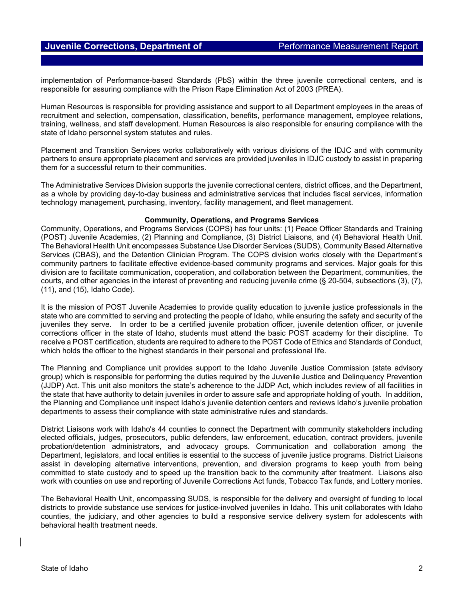implementation of Performance-based Standards (PbS) within the three juvenile correctional centers, and is responsible for assuring compliance with the Prison Rape Elimination Act of 2003 (PREA).

Human Resources is responsible for providing assistance and support to all Department employees in the areas of recruitment and selection, compensation, classification, benefits, performance management, employee relations, training, wellness, and staff development. Human Resources is also responsible for ensuring compliance with the state of Idaho personnel system statutes and rules.

Placement and Transition Services works collaboratively with various divisions of the IDJC and with community partners to ensure appropriate placement and services are provided juveniles in IDJC custody to assist in preparing them for a successful return to their communities.

The Administrative Services Division supports the juvenile correctional centers, district offices, and the Department, as a whole by providing day-to-day business and administrative services that includes fiscal services, information technology management, purchasing, inventory, facility management, and fleet management.

#### **Community, Operations, and Programs Services**

Community, Operations, and Programs Services (COPS) has four units: (1) Peace Officer Standards and Training (POST) Juvenile Academies, (2) Planning and Compliance, (3) District Liaisons, and (4) Behavioral Health Unit. The Behavioral Health Unit encompasses Substance Use Disorder Services (SUDS), Community Based Alternative Services (CBAS), and the Detention Clinician Program. The COPS division works closely with the Department's community partners to facilitate effective evidence-based community programs and services. Major goals for this division are to facilitate communication, cooperation, and collaboration between the Department, communities, the courts, and other agencies in the interest of preventing and reducing juvenile crime (§ 20-504, subsections (3), (7), (11), and (15), Idaho Code).

It is the mission of POST Juvenile Academies to provide quality education to juvenile justice professionals in the state who are committed to serving and protecting the people of Idaho, while ensuring the safety and security of the juveniles they serve. In order to be a certified juvenile probation officer, juvenile detention officer, or juvenile corrections officer in the state of Idaho, students must attend the basic POST academy for their discipline. To receive a POST certification, students are required to adhere to the POST Code of Ethics and Standards of Conduct, which holds the officer to the highest standards in their personal and professional life.

The Planning and Compliance unit provides support to the Idaho Juvenile Justice Commission (state advisory group) which is responsible for performing the duties required by the Juvenile Justice and Delinquency Prevention (JJDP) Act. This unit also monitors the state's adherence to the JJDP Act, which includes review of all facilities in the state that have authority to detain juveniles in order to assure safe and appropriate holding of youth. In addition, the Planning and Compliance unit inspect Idaho's juvenile detention centers and reviews Idaho's juvenile probation departments to assess their compliance with state administrative rules and standards.

District Liaisons work with Idaho's 44 counties to connect the Department with community stakeholders including elected officials, judges, prosecutors, public defenders, law enforcement, education, contract providers, juvenile probation/detention administrators, and advocacy groups. Communication and collaboration among the Department, legislators, and local entities is essential to the success of juvenile justice programs. District Liaisons assist in developing alternative interventions, prevention, and diversion programs to keep youth from being committed to state custody and to speed up the transition back to the community after treatment. Liaisons also work with counties on use and reporting of Juvenile Corrections Act funds, Tobacco Tax funds, and Lottery monies.

The Behavioral Health Unit, encompassing SUDS, is responsible for the delivery and oversight of funding to local districts to provide substance use services for justice-involved juveniles in Idaho. This unit collaborates with Idaho counties, the judiciary, and other agencies to build a responsive service delivery system for adolescents with behavioral health treatment needs.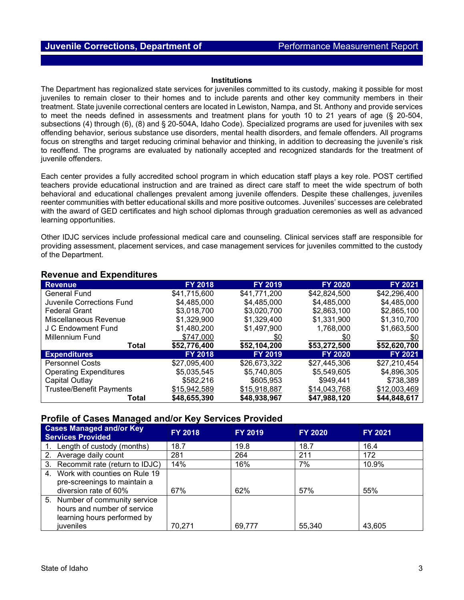#### **Institutions**

The Department has regionalized state services for juveniles committed to its custody, making it possible for most juveniles to remain closer to their homes and to include parents and other key community members in their treatment. State juvenile correctional centers are located in Lewiston, Nampa, and St. Anthony and provide services to meet the needs defined in assessments and treatment plans for youth 10 to 21 years of age (§ 20-504, subsections (4) through (6), (8) and § 20-504A, Idaho Code). Specialized programs are used for juveniles with sex offending behavior, serious substance use disorders, mental health disorders, and female offenders. All programs focus on strengths and target reducing criminal behavior and thinking, in addition to decreasing the juvenile's risk to reoffend. The programs are evaluated by nationally accepted and recognized standards for the treatment of juvenile offenders.

Each center provides a fully accredited school program in which education staff plays a key role. POST certified teachers provide educational instruction and are trained as direct care staff to meet the wide spectrum of both behavioral and educational challenges prevalent among juvenile offenders. Despite these challenges, juveniles reenter communities with better educational skills and more positive outcomes. Juveniles' successes are celebrated with the award of GED certificates and high school diplomas through graduation ceremonies as well as advanced learning opportunities.

Other IDJC services include professional medical care and counseling. Clinical services staff are responsible for providing assessment, placement services, and case management services for juveniles committed to the custody of the Department.

| $R_{\rm F}$ and $L_{\rm F}$ and $L_{\rm F}$ and $R_{\rm F}$ |                |                            |                |                |  |  |  |  |
|-------------------------------------------------------------|----------------|----------------------------|----------------|----------------|--|--|--|--|
| <b>Revenue</b>                                              | <b>FY 2018</b> | <b>FY 2019</b>             | <b>FY 2020</b> | <b>FY 2021</b> |  |  |  |  |
| <b>General Fund</b>                                         | \$41.715.600   | \$41,771,200               | \$42,824,500   | \$42,296,400   |  |  |  |  |
| Juvenile Corrections Fund                                   | \$4,485,000    | \$4,485,000                | \$4,485,000    | \$4,485,000    |  |  |  |  |
| <b>Federal Grant</b>                                        | \$3,018,700    | \$3,020,700                | \$2,863,100    | \$2,865,100    |  |  |  |  |
| Miscellaneous Revenue                                       | \$1,329,900    | \$1,329,400<br>\$1,331,900 |                | \$1,310,700    |  |  |  |  |
| J C Endowment Fund                                          | \$1.480.200    | \$1.497.900                | 1.768.000      | \$1,663,500    |  |  |  |  |
| <b>Millennium Fund</b>                                      | \$747,000      | \$0                        | \$0            | \$0            |  |  |  |  |
| Total                                                       | \$52,776,400   | \$52,104,200               | \$53,272,500   | \$52,620,700   |  |  |  |  |
| <b>Expenditures</b>                                         | <b>FY 2018</b> | <b>FY 2019</b>             | <b>FY 2020</b> | <b>FY 2021</b> |  |  |  |  |
| <b>Personnel Costs</b>                                      | \$27,095,400   | \$26,673,322               | \$27,445,306   | \$27,210,454   |  |  |  |  |
| <b>Operating Expenditures</b>                               | \$5.035.545    | \$5.740.805                | \$5,549,605    | \$4,896,305    |  |  |  |  |
| Capital Outlay                                              | \$582,216      | \$605,953                  | \$949,441      | \$738,389      |  |  |  |  |
| <b>Trustee/Benefit Payments</b>                             | \$15,942,589   | \$15,918,887               | \$14,043,768   | \$12,003,469   |  |  |  |  |
| Total                                                       | \$48,655,390   | \$48,938,967               | \$47,988,120   | \$44,848,617   |  |  |  |  |

# **Revenue and Expenditures**

# **Profile of Cases Managed and/or Key Services Provided**

| <b>Cases Managed and/or Key</b><br><b>Services Provided</b>                                                      | <b>FY 2018</b> | <b>FY 2019</b> | FY 2020 | <b>FY 2021</b> |
|------------------------------------------------------------------------------------------------------------------|----------------|----------------|---------|----------------|
| 1. Length of custody (months)                                                                                    | 18.7           | 19.8           | 18.7    | 16.4           |
| 2. Average daily count                                                                                           | 281            | 264            | 211     | 172            |
| 3. Recommit rate (return to IDJC)                                                                                | 14%            | 16%            | 7%      | 10.9%          |
| 4. Work with counties on Rule 19<br>pre-screenings to maintain a<br>diversion rate of 60%                        | 67%            | 62%            | 57%     | 55%            |
| 5. Number of community service<br>hours and number of service<br>learning hours performed by<br><i>iuveniles</i> | 70.271         | 69,777         | 55,340  | 43,605         |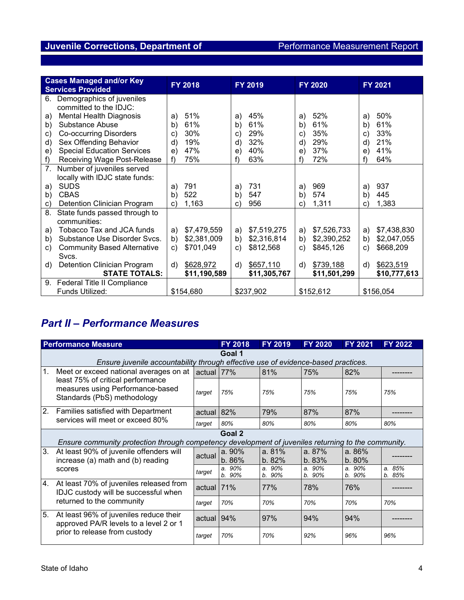# **Juvenile Corrections, Department of Theorem 2016** Performance Measurement Report

| <b>Cases Managed and/or Key</b><br><b>Services Provided</b> | <b>FY 2018</b> | <b>FY 2019</b> | <b>FY 2020</b> | FY 2021      |  |
|-------------------------------------------------------------|----------------|----------------|----------------|--------------|--|
| Demographics of juveniles<br>6.                             |                |                |                |              |  |
| committed to the IDJC:                                      |                |                |                |              |  |
| <b>Mental Health Diagnosis</b>                              | 51%            | 45%            | 52%            | 50%          |  |
| a)                                                          | a)             | a)             | a)             | a)           |  |
| Substance Abuse                                             | 61%            | 61%            | 61%            | 61%          |  |
| b)                                                          | b)             | b)             | b)             | b)           |  |
| <b>Co-occurring Disorders</b>                               | 30%            | 29%            | 35%            | 33%          |  |
| C)                                                          | C)             | C)             | c)             | C)           |  |
| Sex Offending Behavior                                      | 19%            | 32%            | 29%            | 21%          |  |
| d)                                                          | d)             | d)             | d)             | d)           |  |
| <b>Special Education Services</b>                           | 47%            | 40%            | 37%            | 41%          |  |
| e)                                                          | e)             | e)             | e)             | e)           |  |
| Receiving Wage Post-Release                                 | 75%            | 63%            | 72%            | 64%          |  |
| f)                                                          | f)             | f)             | f)             | f)           |  |
| $7_{\cdot}$<br>Number of juveniles served                   |                |                |                |              |  |
| locally with IDJC state funds:                              |                |                |                |              |  |
| <b>SUDS</b>                                                 | 791            | 731            | 969            | 937          |  |
| a)                                                          | a)             | a)             | a)             | a)           |  |
| <b>CBAS</b>                                                 | 522            | b)             | b)             | 445          |  |
| b)                                                          | b)             | 547            | 574            | b)           |  |
| Detention Clinician Program                                 | 1,163          | 956            | 1,311          | 1,383        |  |
| C)                                                          | C)             | C)             | C)             | C)           |  |
| 8.<br>State funds passed through to                         |                |                |                |              |  |
| communities:                                                |                |                |                |              |  |
| Tobacco Tax and JCA funds                                   | \$7,479,559    | \$7,519,275    | \$7,526,733    | \$7,438,830  |  |
| a)                                                          | a)             | a)             | a)             | a)           |  |
| Substance Use Disorder Svcs.                                | \$2,381,009    | b)             | \$2,390,252    | b)           |  |
| b)                                                          | b)             | \$2,316,814    | b)             | \$2,047,055  |  |
| <b>Community Based Alternative</b>                          | \$701,049      | \$812,568      | \$845,126      | \$668,209    |  |
| C)                                                          | C)             | c)             | C)             | c)           |  |
| Svcs.                                                       |                |                |                |              |  |
| Detention Clinician Program                                 | \$628,972      | \$657,110      | \$739,188      | \$623,519    |  |
| d)                                                          | d)             | d)             | d)             | d)           |  |
| <b>STATE TOTALS:</b>                                        | \$11,190,589   | \$11,305,767   | \$11,501,299   | \$10,777,613 |  |
| 9. Federal Title II Compliance                              |                |                |                |              |  |
| Funds Utilized:                                             | \$154,680      |                | \$152,612      | \$156,054    |  |

# *Part II – Performance Measures*

| <b>Performance Measure</b>          |                                                                                                                                                |               | FY 2018             | <b>FY 2019</b>  | <b>FY 2020</b>   | FY 2021          | <b>FY 2022</b>      |  |
|-------------------------------------|------------------------------------------------------------------------------------------------------------------------------------------------|---------------|---------------------|-----------------|------------------|------------------|---------------------|--|
|                                     | Goal 1<br>Ensure juvenile accountability through effective use of evidence-based practices.                                                    |               |                     |                 |                  |                  |                     |  |
| 1.                                  | Meet or exceed national averages on at<br>least 75% of critical performance<br>measures using Performance-based<br>Standards (PbS) methodology | actual 77%    |                     | 81%             | 75%              | 82%              |                     |  |
|                                     |                                                                                                                                                | target        | 75%                 | 75%             | 75%              | 75%              | 75%                 |  |
| 2.                                  | Families satisfied with Department<br>services will meet or exceed 80%                                                                         | actual $ 82%$ |                     | 79%             | 87%              | 87%              |                     |  |
|                                     |                                                                                                                                                | target        | 80%                 | 80%             | 80%              | 80%              | 80%                 |  |
|                                     | Goal 2<br>Ensure community protection through competency development of juveniles returning to the community.                                  |               |                     |                 |                  |                  |                     |  |
| 3.<br>scores                        | At least 90% of juvenile offenders will<br>increase (a) math and (b) reading                                                                   | actual        | a.90%<br>b.86%      | a. 81%<br>b.82% | a. 87%<br>b. 83% | a. 86%<br>b.80%  |                     |  |
|                                     |                                                                                                                                                | target        | a. 90%<br>90%<br>b. | a.90%<br>b. 90% | a.90%<br>b. 90%  | a. 90%<br>b. 90% | a. 85%<br>85%<br>b. |  |
| 4.                                  | At least 70% of juveniles released from<br>IDJC custody will be successful when<br>returned to the community                                   | actual $ 71%$ |                     | 77%             | 78%              | 76%              |                     |  |
|                                     |                                                                                                                                                | target        | 70%                 | 70%             | 70%              | 70%              | 70%                 |  |
| 5.<br>prior to release from custody | At least 96% of juveniles reduce their<br>approved PA/R levels to a level 2 or 1                                                               | actual 194%   |                     | 97%             | 94%              | 94%              |                     |  |
|                                     |                                                                                                                                                | target        | 70%                 | 70%             | 92%              | 96%              | 96%                 |  |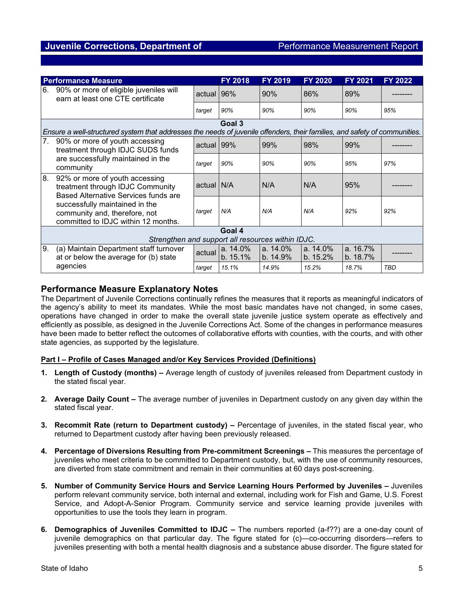| <b>Performance Measure</b>                        |                                                                                                                                                                                                                      |            | <b>FY 2018</b>       | <b>FY 2019</b>       | <b>FY 2020</b>       | FY 2021              | <b>FY 2022</b> |  |
|---------------------------------------------------|----------------------------------------------------------------------------------------------------------------------------------------------------------------------------------------------------------------------|------------|----------------------|----------------------|----------------------|----------------------|----------------|--|
| 6.                                                | 90% or more of eligible juveniles will<br>earn at least one CTE certificate                                                                                                                                          | actual 96% |                      | 90%                  | 86%                  | 89%                  |                |  |
|                                                   |                                                                                                                                                                                                                      | target     | 90%                  | 90%                  | 90%                  | 90%                  | 95%            |  |
|                                                   | Goal 3                                                                                                                                                                                                               |            |                      |                      |                      |                      |                |  |
|                                                   | Ensure a well-structured system that addresses the needs of juvenile offenders, their families, and safety of communities.                                                                                           |            |                      |                      |                      |                      |                |  |
| 7.                                                | 90% or more of youth accessing<br>treatment through IDJC SUDS funds<br>are successfully maintained in the<br>community                                                                                               | actual 99% |                      | 99%                  | 98%                  | 99%                  |                |  |
|                                                   |                                                                                                                                                                                                                      | target     | 90%                  | 90%                  | 90%                  | 95%                  | 97%            |  |
| 8.                                                | 92% or more of youth accessing<br>treatment through IDJC Community<br>Based Alternative Services funds are<br>successfully maintained in the<br>community and, therefore, not<br>committed to IDJC within 12 months. | actual N/A |                      | N/A                  | N/A                  | 95%                  |                |  |
|                                                   |                                                                                                                                                                                                                      | target     | N/A                  | N/A                  | N/A                  | 92%                  | 92%            |  |
| Goal 4                                            |                                                                                                                                                                                                                      |            |                      |                      |                      |                      |                |  |
| Strengthen and support all resources within IDJC. |                                                                                                                                                                                                                      |            |                      |                      |                      |                      |                |  |
| 9.                                                | (a) Maintain Department staff turnover<br>at or below the average for (b) state                                                                                                                                      | actual     | a. 14.0%<br>b. 15.1% | a. 14.0%<br>b. 14.9% | a. 14.0%<br>b. 15.2% | a. 16.7%<br>b. 18.7% |                |  |
|                                                   | agencies                                                                                                                                                                                                             | target     | 15.1%                | 14.9%                | 15.2%                | 18.7%                | <b>TBD</b>     |  |

# **Performance Measure Explanatory Notes**

The Department of Juvenile Corrections continually refines the measures that it reports as meaningful indicators of the agency's ability to meet its mandates. While the most basic mandates have not changed, in some cases, operations have changed in order to make the overall state juvenile justice system operate as effectively and efficiently as possible, as designed in the Juvenile Corrections Act. Some of the changes in performance measures have been made to better reflect the outcomes of collaborative efforts with counties, with the courts, and with other state agencies, as supported by the legislature.

## **Part I – Profile of Cases Managed and/or Key Services Provided (Definitions)**

- **1. Length of Custody (months) –** Average length of custody of juveniles released from Department custody in the stated fiscal year.
- **2. Average Daily Count –** The average number of juveniles in Department custody on any given day within the stated fiscal year.
- **3. Recommit Rate (return to Department custody) –** Percentage of juveniles, in the stated fiscal year, who returned to Department custody after having been previously released.
- **4. Percentage of Diversions Resulting from Pre-commitment Screenings –** This measures the percentage of juveniles who meet criteria to be committed to Department custody, but, with the use of community resources, are diverted from state commitment and remain in their communities at 60 days post-screening.
- **5. Number of Community Service Hours and Service Learning Hours Performed by Juveniles –** Juveniles perform relevant community service, both internal and external, including work for Fish and Game, U.S. Forest Service, and Adopt-A-Senior Program. Community service and service learning provide juveniles with opportunities to use the tools they learn in program.
- **6. Demographics of Juveniles Committed to IDJC –** The numbers reported (a-f??) are a one-day count of juvenile demographics on that particular day. The figure stated for (c)—co-occurring disorders—refers to juveniles presenting with both a mental health diagnosis and a substance abuse disorder. The figure stated for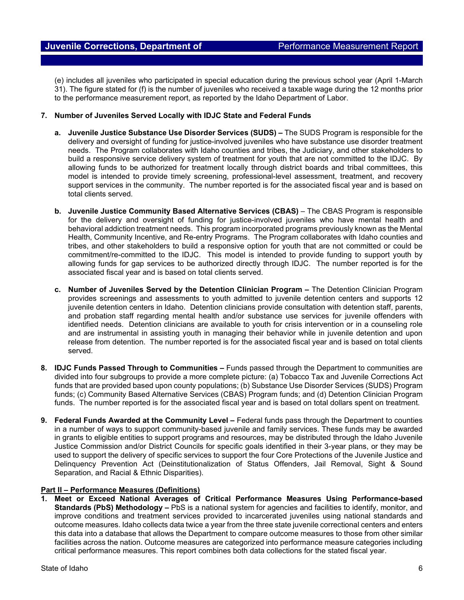(e) includes all juveniles who participated in special education during the previous school year (April 1-March 31). The figure stated for (f) is the number of juveniles who received a taxable wage during the 12 months prior to the performance measurement report, as reported by the Idaho Department of Labor.

### **7. Number of Juveniles Served Locally with IDJC State and Federal Funds**

- **a. Juvenile Justice Substance Use Disorder Services (SUDS) –** The SUDS Program is responsible for the delivery and oversight of funding for justice-involved juveniles who have substance use disorder treatment needs. The Program collaborates with Idaho counties and tribes, the Judiciary, and other stakeholders to build a responsive service delivery system of treatment for youth that are not committed to the IDJC. By allowing funds to be authorized for treatment locally through district boards and tribal committees, this model is intended to provide timely screening, professional-level assessment, treatment, and recovery support services in the community. The number reported is for the associated fiscal year and is based on total clients served.
- **b. Juvenile Justice Community Based Alternative Services (CBAS)**  The CBAS Program is responsible for the delivery and oversight of funding for justice-involved juveniles who have mental health and behavioral addiction treatment needs. This program incorporated programs previously known as the Mental Health, Community Incentive, and Re-entry Programs. The Program collaborates with Idaho counties and tribes, and other stakeholders to build a responsive option for youth that are not committed or could be commitment/re-committed to the IDJC. This model is intended to provide funding to support youth by allowing funds for gap services to be authorized directly through IDJC. The number reported is for the associated fiscal year and is based on total clients served.
- **c. Number of Juveniles Served by the Detention Clinician Program –** The Detention Clinician Program provides screenings and assessments to youth admitted to juvenile detention centers and supports 12 juvenile detention centers in Idaho. Detention clinicians provide consultation with detention staff, parents, and probation staff regarding mental health and/or substance use services for juvenile offenders with identified needs. Detention clinicians are available to youth for crisis intervention or in a counseling role and are instrumental in assisting youth in managing their behavior while in juvenile detention and upon release from detention. The number reported is for the associated fiscal year and is based on total clients served.
- **8. IDJC Funds Passed Through to Communities –** Funds passed through the Department to communities are divided into four subgroups to provide a more complete picture: (a) Tobacco Tax and Juvenile Corrections Act funds that are provided based upon county populations; (b) Substance Use Disorder Services (SUDS) Program funds; (c) Community Based Alternative Services (CBAS) Program funds; and (d) Detention Clinician Program funds. The number reported is for the associated fiscal year and is based on total dollars spent on treatment.
- **9. Federal Funds Awarded at the Community Level –** Federal funds pass through the Department to counties in a number of ways to support community-based juvenile and family services. These funds may be awarded in grants to eligible entities to support programs and resources, may be distributed through the Idaho Juvenile Justice Commission and/or District Councils for specific goals identified in their 3-year plans, or they may be used to support the delivery of specific services to support the four Core Protections of the Juvenile Justice and Delinquency Prevention Act (Deinstitutionalization of Status Offenders, Jail Removal, Sight & Sound Separation, and Racial & Ethnic Disparities).

## **Part II – Performance Measures (Definitions)**

**1. Meet or Exceed National Averages of Critical Performance Measures Using Performance-based Standards (PbS) Methodology –** PbS is a national system for agencies and facilities to identify, monitor, and improve conditions and treatment services provided to incarcerated juveniles using national standards and outcome measures. Idaho collects data twice a year from the three state juvenile correctional centers and enters this data into a database that allows the Department to compare outcome measures to those from other similar facilities across the nation. Outcome measures are categorized into performance measure categories including critical performance measures. This report combines both data collections for the stated fiscal year.